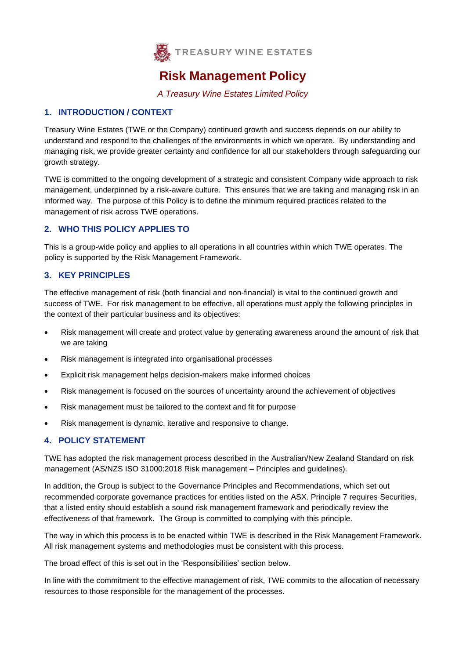

# **Risk Management Policy**

*A Treasury Wine Estates Limited Policy*

## **1. INTRODUCTION / CONTEXT**

Treasury Wine Estates (TWE or the Company) continued growth and success depends on our ability to understand and respond to the challenges of the environments in which we operate. By understanding and managing risk, we provide greater certainty and confidence for all our stakeholders through safeguarding our growth strategy.

TWE is committed to the ongoing development of a strategic and consistent Company wide approach to risk management, underpinned by a risk-aware culture. This ensures that we are taking and managing risk in an informed way. The purpose of this Policy is to define the minimum required practices related to the management of risk across TWE operations.

## **2. WHO THIS POLICY APPLIES TO**

This is a group-wide policy and applies to all operations in all countries within which TWE operates. The policy is supported by the Risk Management Framework.

## **3. KEY PRINCIPLES**

The effective management of risk (both financial and non-financial) is vital to the continued growth and success of TWE. For risk management to be effective, all operations must apply the following principles in the context of their particular business and its objectives:

- Risk management will create and protect value by generating awareness around the amount of risk that we are taking
- Risk management is integrated into organisational processes
- Explicit risk management helps decision-makers make informed choices
- Risk management is focused on the sources of uncertainty around the achievement of objectives
- Risk management must be tailored to the context and fit for purpose
- Risk management is dynamic, iterative and responsive to change.

## **4. POLICY STATEMENT**

TWE has adopted the risk management process described in the Australian/New Zealand Standard on risk management (AS/NZS ISO 31000:2018 Risk management – Principles and guidelines).

In addition, the Group is subject to the Governance Principles and Recommendations, which set out recommended corporate governance practices for entities listed on the ASX. Principle 7 requires Securities, that a listed entity should establish a sound risk management framework and periodically review the effectiveness of that framework. The Group is committed to complying with this principle.

The way in which this process is to be enacted within TWE is described in the Risk Management Framework. All risk management systems and methodologies must be consistent with this process.

The broad effect of this is set out in the 'Responsibilities' section below.

In line with the commitment to the effective management of risk, TWE commits to the allocation of necessary resources to those responsible for the management of the processes.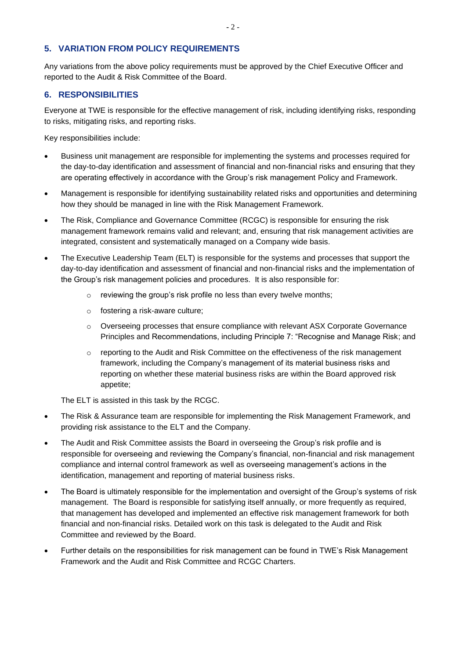### **5. VARIATION FROM POLICY REQUIREMENTS**

Any variations from the above policy requirements must be approved by the Chief Executive Officer and reported to the Audit & Risk Committee of the Board.

#### **6. RESPONSIBILITIES**

Everyone at TWE is responsible for the effective management of risk, including identifying risks, responding to risks, mitigating risks, and reporting risks.

Key responsibilities include:

- Business unit management are responsible for implementing the systems and processes required for the day-to-day identification and assessment of financial and non-financial risks and ensuring that they are operating effectively in accordance with the Group's risk management Policy and Framework.
- Management is responsible for identifying sustainability related risks and opportunities and determining how they should be managed in line with the Risk Management Framework.
- The Risk, Compliance and Governance Committee (RCGC) is responsible for ensuring the risk management framework remains valid and relevant; and, ensuring that risk management activities are integrated, consistent and systematically managed on a Company wide basis.
- The Executive Leadership Team (ELT) is responsible for the systems and processes that support the day-to-day identification and assessment of financial and non-financial risks and the implementation of the Group's risk management policies and procedures. It is also responsible for:
	- o reviewing the group's risk profile no less than every twelve months;
	- o fostering a risk-aware culture;
	- o Overseeing processes that ensure compliance with relevant ASX Corporate Governance Principles and Recommendations, including Principle 7: "Recognise and Manage Risk; and
	- o reporting to the Audit and Risk Committee on the effectiveness of the risk management framework, including the Company's management of its material business risks and reporting on whether these material business risks are within the Board approved risk appetite;

The ELT is assisted in this task by the RCGC.

- The Risk & Assurance team are responsible for implementing the Risk Management Framework, and providing risk assistance to the ELT and the Company.
- The Audit and Risk Committee assists the Board in overseeing the Group's risk profile and is responsible for overseeing and reviewing the Company's financial, non-financial and risk management compliance and internal control framework as well as overseeing management's actions in the identification, management and reporting of material business risks.
- The Board is ultimately responsible for the implementation and oversight of the Group's systems of risk management. The Board is responsible for satisfying itself annually, or more frequently as required, that management has developed and implemented an effective risk management framework for both financial and non-financial risks. Detailed work on this task is delegated to the Audit and Risk Committee and reviewed by the Board.
- Further details on the responsibilities for risk management can be found in TWE's Risk Management Framework and the Audit and Risk Committee and RCGC Charters.